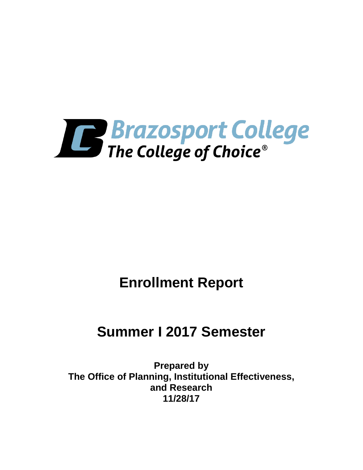

# **Enrollment Report**

# **Summer I 2017 Semester**

**Prepared by The Office of Planning, Institutional Effectiveness, and Research 11/28/17**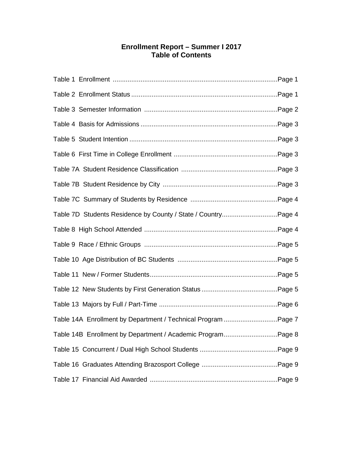## **Enrollment Report – Summer I 2017 Table of Contents**

| Table 7D Students Residence by County / State / CountryPage 4 |  |
|---------------------------------------------------------------|--|
|                                                               |  |
|                                                               |  |
|                                                               |  |
|                                                               |  |
|                                                               |  |
|                                                               |  |
| Table 14A Enrollment by Department / Technical Program Page 7 |  |
| Table 14B Enrollment by Department / Academic ProgramPage 8   |  |
|                                                               |  |
|                                                               |  |
|                                                               |  |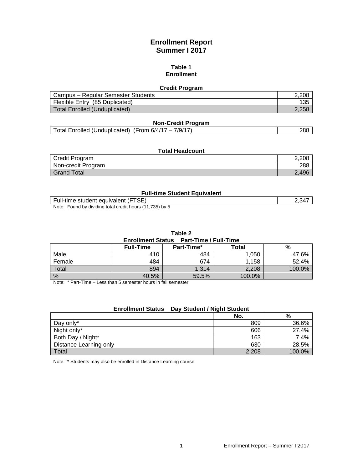# **Enrollment Report Summer I 2017**

#### **Table 1 Enrollment**

#### **Credit Program**

| Campus – Regular Semester Students | 2.208 |
|------------------------------------|-------|
| Flexible Entry (85 Duplicated)     | 135   |
| Total Enrolled (Unduplicated)      | 2.258 |

#### **Non-Credit Program**

|  | 7/9/17<br>(Unduplicated)<br>Total Enrolled<br>(From 6/4/17<br>– | 288 |
|--|-----------------------------------------------------------------|-----|
|--|-----------------------------------------------------------------|-----|

| <b>Total Headcount</b> |       |  |
|------------------------|-------|--|
| Credit Program         | 2,208 |  |
| Non-credit Program     | 288   |  |
| Grand Total            | 2.496 |  |

#### **Full-time Student Equivalent**

| Full-time student equivalent (FTSE)                      | .34 |
|----------------------------------------------------------|-----|
| Note: Found by dividing total credit hours (11,735) by 5 |     |

**Table 2**

| <b>Enrollment Status Part-Time / Full-Time</b> |                  |            |        |        |  |
|------------------------------------------------|------------------|------------|--------|--------|--|
|                                                | <b>Full-Time</b> | Part-Time* | Total  | %      |  |
| Male                                           | 410              | 484        | 1.050  | 47.6%  |  |
| Female                                         | 484              | 674        | 1.158  | 52.4%  |  |
| Total                                          | 894              | 1.314      | 2.208  | 100.0% |  |
| %                                              | 40.5%            | 59.5%      | 100.0% |        |  |

Note: \* Part-Time – Less than 5 semester hours in fall semester.

#### **Enrollment Status Day Student / Night Student**

|                        | No.   | %      |
|------------------------|-------|--------|
| Day only*              | 809   | 36.6%  |
| Night only*            | 606   | 27.4%  |
| Both Day / Night*      | 163   | 7.4%   |
| Distance Learning only | 630   | 28.5%  |
| Total                  | 2,208 | 100.0% |

Note: \* Students may also be enrolled in Distance Learning course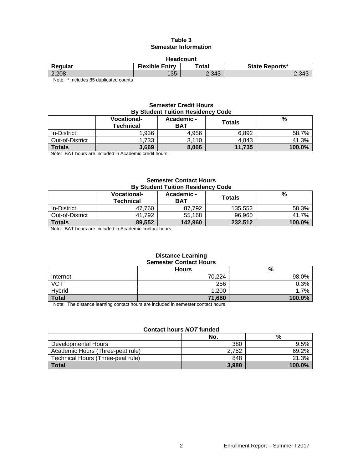#### **Table 3 Semester Information**

| <b>Headcount</b>                                |                       |       |                |  |
|-------------------------------------------------|-----------------------|-------|----------------|--|
| Regular                                         | <b>Flexible Entry</b> | ™otal | State Reports* |  |
| 2,208                                           | 135                   | 2.343 | $2.34^{\circ}$ |  |
| $\mathbf{r}$ , and the contract of $\mathbf{r}$ |                       |       |                |  |

Note: \* Includes 85 duplicated counts

#### **Semester Credit Hours By Student Tuition Residency Code**

|                 | <b>Vocational-</b><br><b>Technical</b> | Academic -<br><b>BAT</b> | <b>Totals</b> | %      |
|-----------------|----------------------------------------|--------------------------|---------------|--------|
| In-District     | 1,936                                  | 4.956                    | 6,892         | 58.7%  |
| Out-of-District | 1.733                                  | 3,110                    | 4.843         | 41.3%  |
| <b>Totals</b>   | 3,669                                  | 8.066                    | 11,735        | 100.0% |
|                 |                                        |                          |               |        |

Note: BAT hours are included in Academic credit hours.

#### **Semester Contact Hours By Student Tuition Residency Code**

| ********************************* |                                 |                          |         |        |
|-----------------------------------|---------------------------------|--------------------------|---------|--------|
|                                   | <b>Vocational-</b><br>Technical | Academic -<br><b>BAT</b> | Totals  | %      |
| In-District                       | 47.760                          | 87.792                   | 135,552 | 58.3%  |
| Out-of-District                   | 41.792                          | 55.168                   | 96,960  | 41.7%  |
| <b>Totals</b>                     | 89,552                          | 142.960                  | 232,512 | 100.0% |

Note: BAT hours are included in Academic contact hours.

#### **Distance Learning Semester Contact Hours**

|                  | <b>Hours</b> | %      |
|------------------|--------------|--------|
| Internet         | 70,224       | 98.0%  |
| $\overline{VCT}$ | 256          | 0.3%   |
| Hybrid           | 1,200        | 1.7%   |
| <b>Total</b>     | 71,680       | 100.0% |

Note: The distance learning contact hours are included in semester contact hours.

#### **Contact hours** *NOT* **funded**

|                                   | No.   | %         |
|-----------------------------------|-------|-----------|
| Developmental Hours               | 380   | 9.5%      |
| Academic Hours (Three-peat rule)  | 2.752 | 69.2%     |
| Technical Hours (Three-peat rule) | 848   | 21.3%     |
| <b>Total</b>                      | 3.980 | $100.0\%$ |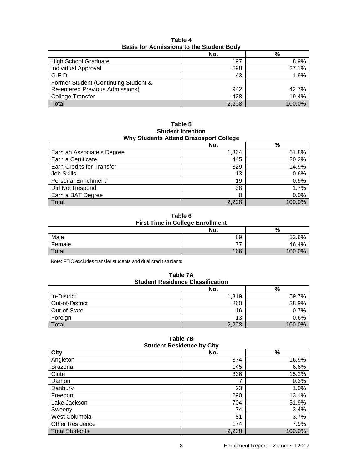|                                        | No.   | %      |  |
|----------------------------------------|-------|--------|--|
| <b>High School Graduate</b>            | 197   | 8.9%   |  |
| Individual Approval                    | 598   | 27.1%  |  |
| G.E.D.                                 | 43    | 1.9%   |  |
| Former Student (Continuing Student &   |       |        |  |
| <b>Re-entered Previous Admissions)</b> | 942   | 42.7%  |  |
| College Transfer                       | 428   | 19.4%  |  |
| Total                                  | 2,208 | 100.0% |  |

**Table 4 Basis for Admissions to the Student Body**

**Table 5 Student Intention Why Students Attend Brazosport College**

|                                  | . .   |               |
|----------------------------------|-------|---------------|
|                                  | No.   | $\frac{9}{6}$ |
| Earn an Associate's Degree       | 1,364 | 61.8%         |
| Earn a Certificate               | 445   | 20.2%         |
| <b>Earn Credits for Transfer</b> | 329   | 14.9%         |
| <b>Job Skills</b>                | 13    | 0.6%          |
| <b>Personal Enrichment</b>       | 19    | 0.9%          |
| Did Not Respond                  | 38    | 1.7%          |
| Earn a BAT Degree                |       | 0.0%          |
| Total                            | 2,208 | 100.0%        |

**Table 6 First Time in College Enrollment**

|        | No. | %          |
|--------|-----|------------|
| Male   | 89  | 53.6%      |
| Female | ––  | 46.4%      |
| Total  | 166 | 100.<br>0% |

Note: FTIC excludes transfer students and dual credit students.

**Table 7A Student Residence Classification**

|                 | No.   | %      |
|-----------------|-------|--------|
| In-District     | 1,319 | 59.7%  |
| Out-of-District | 860   | 38.9%  |
| Out-of-State    | 16    | 0.7%   |
| Foreign         | 13    | 0.6%   |
| Total           | 2,208 | 100.0% |

| <b>Student Residence by City</b> |       |        |  |
|----------------------------------|-------|--------|--|
| <b>City</b>                      | No.   | %      |  |
| Angleton                         | 374   | 16.9%  |  |
| <b>Brazoria</b>                  | 145   | 6.6%   |  |
| Clute                            | 336   | 15.2%  |  |
| Damon                            |       | 0.3%   |  |
| Danbury                          | 23    | 1.0%   |  |
| Freeport                         | 290   | 13.1%  |  |
| Lake Jackson                     | 704   | 31.9%  |  |
| Sweeny                           | 74    | 3.4%   |  |
| West Columbia                    | 81    | 3.7%   |  |
| Other Residence                  | 174   | 7.9%   |  |
| <b>Total Students</b>            | 2,208 | 100.0% |  |

| Table 7B              |  |  |
|-----------------------|--|--|
| tudent Residence bv C |  |  |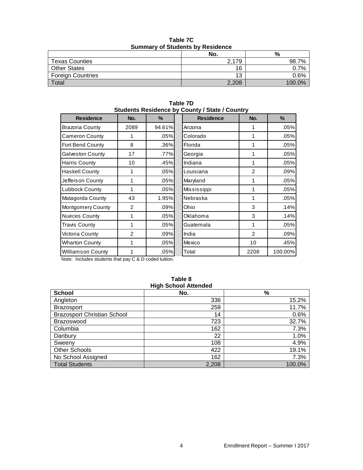|                          | No.   | %       |  |
|--------------------------|-------|---------|--|
| <b>Texas Counties</b>    | 2,179 | 98.7%   |  |
| <b>Other States</b>      | 16    | 0.7%    |  |
| <b>Foreign Countries</b> | 12    | $0.6\%$ |  |
| Total                    | 2,208 | 100.0%  |  |

**Table 7C Summary of Students by Residence**

| Students Residence by County / State / Country |      |         |  |                  |                 |         |
|------------------------------------------------|------|---------|--|------------------|-----------------|---------|
| <b>Residence</b>                               | No.  | $\%$    |  | <b>Residence</b> | No.             | %       |
| <b>Brazoria County</b>                         | 2089 | 94.61%  |  | Arizona          |                 | .05%    |
| <b>Cameron County</b>                          | 1    | .05%    |  | Colorado         | 1               | .05%    |
| Fort Bend County                               | 8    | $.36\%$ |  | Florida          | 1               | .05%    |
| <b>Galveston County</b>                        | 17   | .77%    |  | Georgia          | 1               | .05%    |
| Harris County                                  | 10   | .45%    |  | Indiana          | 1               | .05%    |
| <b>Haskell County</b>                          | 1    | .05%    |  | Louisiana        | 2               | .09%    |
| Jefferson County                               | 1    | .05%    |  | Maryland         | 1               | .05%    |
| Lubbock County                                 | 1    | .05%    |  | Mississippi      | 1               | .05%    |
| Matagorda County                               | 43   | 1.95%   |  | Nebraska         | 1               | .05%    |
| Montgomery County                              | 2    | .09%    |  | Ohio             | 3               | .14%    |
| <b>Nueces County</b>                           | 1    | .05%    |  | Oklahoma         | 3               | .14%    |
| <b>Travis County</b>                           | 1    | .05%    |  | Guatemala        | 1               | .05%    |
| Victoria County                                | 2    | .09%    |  | India            | 2               | .09%    |
| <b>Wharton County</b>                          | 1    | .05%    |  | Mexico           | 10 <sup>1</sup> | .45%    |
| Williamson County                              | 1    | .05%    |  | Total            | 2208            | 100.00% |

**Table 7D**

Note: Includes students that pay C & D coded tuition.

# **High School Attended**

# **Table 8**

| <b>School</b>                      | No.   | %      |
|------------------------------------|-------|--------|
| Angleton                           | 336   | 15.2%  |
| <b>Brazosport</b>                  | 259   | 11.7%  |
| <b>Brazosport Christian School</b> | 14    | 0.6%   |
| Brazoswood                         | 723   | 32.7%  |
| Columbia                           | 162   | 7.3%   |
| Danbury                            | 22    | 1.0%   |
| Sweeny                             | 108   | 4.9%   |
| <b>Other Schools</b>               | 422   | 19.1%  |
| No School Assigned                 | 162   | 7.3%   |
| <b>Total Students</b>              | 2,208 | 100.0% |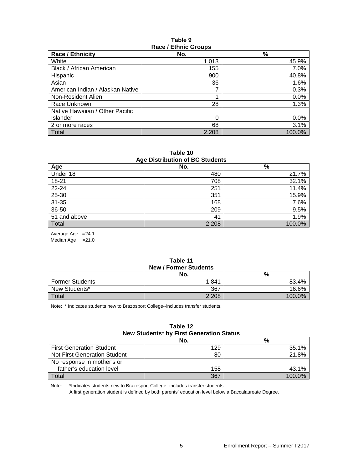#### **Table 9 Race / Ethnic Groups**

| <b>Race / Ethnicity</b>          | No.   | $\frac{9}{6}$ |
|----------------------------------|-------|---------------|
| White                            | 1,013 | 45.9%         |
| Black / African American         | 155   | 7.0%          |
| Hispanic                         | 900   | 40.8%         |
| Asian                            | 36    | 1.6%          |
| American Indian / Alaskan Native | 7     | 0.3%          |
| Non-Resident Alien               | ٠     | 0.0%          |
| Race Unknown                     | 28    | 1.3%          |
| Native Hawaiian / Other Pacific  |       |               |
| Islander                         | 0     | 0.0%          |
| 2 or more races                  | 68    | 3.1%          |
| Total                            | 2,208 | 100.0%        |

**Table 10 Age Distribution of BC Students**

| Age Distribution of DC Students |       |        |  |
|---------------------------------|-------|--------|--|
| Age                             | No.   | %      |  |
| Under 18                        | 480   | 21.7%  |  |
| $18 - 21$                       | 708   | 32.1%  |  |
| 22-24                           | 251   | 11.4%  |  |
| 25-30                           | 351   | 15.9%  |  |
| $31 - 35$                       | 168   | 7.6%   |  |
| 36-50                           | 209   | 9.5%   |  |
| 51 and above                    | 41    | 1.9%   |  |
| Total                           | 2,208 | 100.0% |  |

Average Age =24.1 Median Age  $=21.0$ 

#### **Table 11 New / Former Students**

| <b>NEW / FUILIEL JUUGILS</b> |       |           |  |
|------------------------------|-------|-----------|--|
|                              | No.   | %         |  |
| <b>Former Students</b>       | 1.841 | 83.4%     |  |
| New Students*                | 367   | 16.6%     |  |
| Total                        | 2,208 | $100.0\%$ |  |

Note: \* Indicates students new to Brazosport College--includes transfer students.

#### **Table 12 New Students\* by First Generation Status**

|                                 | No. | %      |
|---------------------------------|-----|--------|
| <b>First Generation Student</b> | 129 | 35.1%  |
| Not First Generation Student    | 80  | 21.8%  |
| No response in mother's or      |     |        |
| father's education level        | 158 | 43.1%  |
| Total                           | 367 | 100.0% |

Note: \*Indicates students new to Brazosport College--includes transfer students.

A first generation student is defined by both parents' education level below a Baccalaureate Degree.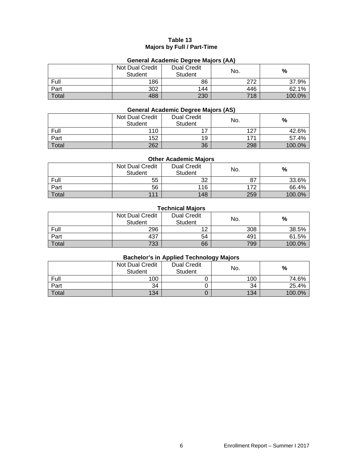#### **Table 13 Majors by Full / Part-Time**

## **General Academic Degree Majors (AA)**

|       | Not Dual Credit<br><b>Student</b> | <b>Dual Credit</b><br>Student | No. | %      |
|-------|-----------------------------------|-------------------------------|-----|--------|
| Full  | 186                               | 86                            | 272 | 37.9%  |
| Part  | 302                               | 144                           | 446 | 62.1%  |
| Total | 488                               | 230                           | 718 | 100.0% |

### **General Academic Degree Majors (AS)**

|       | Not Dual Credit<br><b>Student</b> | <b>Dual Credit</b><br>Student | No. | $\%$   |
|-------|-----------------------------------|-------------------------------|-----|--------|
| Full  | 110                               |                               | 127 | 42.6%  |
| Part  | 152                               | 19                            | 171 | 57.4%  |
| Total | 262                               | 36                            | 298 | 100.0% |

#### **Other Academic Majors**

|       | <b>Not Dual Credit</b><br><b>Student</b> | <b>Dual Credit</b><br>Student | No. | $\%$   |
|-------|------------------------------------------|-------------------------------|-----|--------|
| Full  | 55                                       | 32                            | 87  | 33.6%  |
| Part  | 56                                       | 116                           | 172 | 66.4%  |
| Total | 111                                      | 148                           | 259 | 100.0% |

#### **Technical Majors**

|       | Not Dual Credit<br><b>Student</b> | <b>Dual Credit</b><br>Student | No. | %      |
|-------|-----------------------------------|-------------------------------|-----|--------|
| Full  | 296                               | 10                            | 308 | 38.5%  |
| Part  | 437                               | 54                            | 491 | 61.5%  |
| Total | 733                               | 66                            | 799 | 100.0% |

#### **Bachelor's in Applied Technology Majors**

|              | Not Dual Credit<br>Student | <b>Dual Credit</b><br><b>Student</b> | No. | %      |
|--------------|----------------------------|--------------------------------------|-----|--------|
| Full         | 100                        |                                      | 100 | 74.6%  |
| Part         | 34                         |                                      | 34  | 25.4%  |
| <b>Total</b> | 134                        |                                      | 134 | 100.0% |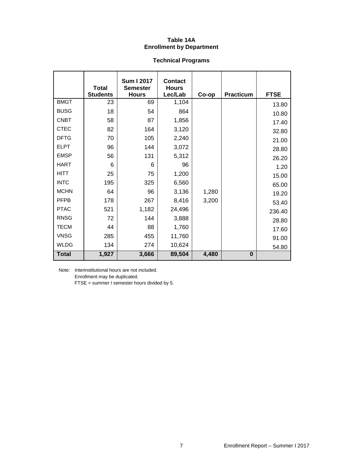#### **Table 14A Enrollment by Department**

# **Technical Programs**

|              | <b>Total</b><br><b>Students</b> | <b>Sum I 2017</b><br><b>Semester</b><br><b>Hours</b> | <b>Contact</b><br><b>Hours</b><br>Lec/Lab |       | <b>Practicum</b> | <b>FTSE</b> |
|--------------|---------------------------------|------------------------------------------------------|-------------------------------------------|-------|------------------|-------------|
| <b>BMGT</b>  | 23                              | 69                                                   | 1,104                                     | Co-op |                  |             |
| <b>BUSG</b>  | 18                              | 54                                                   | 864                                       |       |                  | 13.80       |
| <b>CNBT</b>  | 58                              | 87                                                   | 1,856                                     |       |                  | 10.80       |
| <b>CTEC</b>  | 82                              | 164                                                  | 3,120                                     |       |                  | 17.40       |
|              |                                 |                                                      |                                           |       |                  | 32.80       |
| <b>DFTG</b>  | 70                              | 105                                                  | 2,240                                     |       |                  | 21.00       |
| <b>ELPT</b>  | 96                              | 144                                                  | 3,072                                     |       |                  | 28.80       |
| <b>EMSP</b>  | 56                              | 131                                                  | 5,312                                     |       |                  | 26.20       |
| <b>HART</b>  | 6                               | 6                                                    | 96                                        |       |                  | 1.20        |
| <b>HITT</b>  | 25                              | 75                                                   | 1,200                                     |       |                  | 15.00       |
| <b>INTC</b>  | 195                             | 325                                                  | 6,560                                     |       |                  | 65.00       |
| <b>MCHN</b>  | 64                              | 96                                                   | 3,136                                     | 1,280 |                  | 19.20       |
| <b>PFPB</b>  | 178                             | 267                                                  | 8,416                                     | 3,200 |                  | 53.40       |
| <b>PTAC</b>  | 521                             | 1,182                                                | 24,496                                    |       |                  | 236.40      |
| <b>RNSG</b>  | 72                              | 144                                                  | 3,888                                     |       |                  | 28.80       |
| <b>TECM</b>  | 44                              | 88                                                   | 1,760                                     |       |                  | 17.60       |
| <b>VNSG</b>  | 285                             | 455                                                  | 11,760                                    |       |                  | 91.00       |
| <b>WLDG</b>  | 134                             | 274                                                  | 10,624                                    |       |                  | 54.80       |
| <b>Total</b> | 1,927                           | 3,666                                                | 89,504                                    | 4,480 | $\bf{0}$         |             |

Note: Interinstitutional hours are not included. Enrollment may be duplicated.

FTSE = summer I semester hours divided by 5.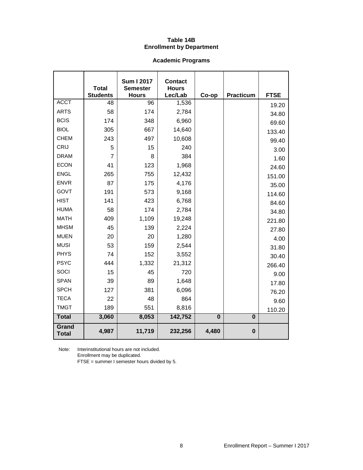#### **Table 14B Enrollment by Department**

# **Academic Programs**

|                              | <b>Total</b>          | <b>Sum I 2017</b><br><b>Semester</b> | <b>Contact</b><br><b>Hours</b> |          |                  |                 |
|------------------------------|-----------------------|--------------------------------------|--------------------------------|----------|------------------|-----------------|
| <b>ACCT</b>                  | <b>Students</b><br>48 | <b>Hours</b><br>96                   | Lec/Lab<br>1,536               | Co-op    | <b>Practicum</b> | <b>FTSE</b>     |
| <b>ARTS</b>                  | 58                    | 174                                  | 2,784                          |          |                  | 19.20           |
| <b>BCIS</b>                  | 174                   | 348                                  | 6,960                          |          |                  | 34.80           |
| <b>BIOL</b>                  | 305                   | 667                                  | 14,640                         |          |                  | 69.60           |
| <b>CHEM</b>                  | 243                   | 497                                  | 10,608                         |          |                  | 133.40          |
| CRIJ                         | 5                     | 15                                   | 240                            |          |                  | 99.40           |
| <b>DRAM</b>                  | $\overline{7}$        | 8                                    | 384                            |          |                  | 3.00            |
| <b>ECON</b>                  | 41                    | 123                                  | 1,968                          |          |                  | 1.60            |
| <b>ENGL</b>                  | 265                   | 755                                  | 12,432                         |          |                  | 24.60<br>151.00 |
| <b>ENVR</b>                  | 87                    | 175                                  | 4,176                          |          |                  | 35.00           |
| GOVT                         | 191                   | 573                                  | 9,168                          |          |                  | 114.60          |
| <b>HIST</b>                  | 141                   | 423                                  | 6,768                          |          |                  | 84.60           |
| <b>HUMA</b>                  | 58                    | 174                                  | 2,784                          |          |                  | 34.80           |
| <b>MATH</b>                  | 409                   | 1,109                                | 19,248                         |          |                  | 221.80          |
| <b>MHSM</b>                  | 45                    | 139                                  | 2,224                          |          |                  | 27.80           |
| <b>MUEN</b>                  | 20                    | 20                                   | 1,280                          |          |                  | 4.00            |
| <b>MUSI</b>                  | 53                    | 159                                  | 2,544                          |          |                  | 31.80           |
| <b>PHYS</b>                  | 74                    | 152                                  | 3,552                          |          |                  | 30.40           |
| <b>PSYC</b>                  | 444                   | 1,332                                | 21,312                         |          |                  | 266.40          |
| SOCI                         | 15                    | 45                                   | 720                            |          |                  | 9.00            |
| <b>SPAN</b>                  | 39                    | 89                                   | 1,648                          |          |                  | 17.80           |
| <b>SPCH</b>                  | 127                   | 381                                  | 6,096                          |          |                  | 76.20           |
| <b>TECA</b>                  | 22                    | 48                                   | 864                            |          |                  | 9.60            |
| <b>TMGT</b>                  | 189                   | 551                                  | 8,816                          |          |                  | 110.20          |
| <b>Total</b>                 | 3,060                 | 8,053                                | 142,752                        | $\bf{0}$ | $\bf{0}$         |                 |
| <b>Grand</b><br><b>Total</b> | 4,987                 | 11,719                               | 232,256                        | 4,480    | $\bf{0}$         |                 |

Note: Interinstitutional hours are not included. Enrollment may be duplicated.

FTSE = summer I semester hours divided by 5.